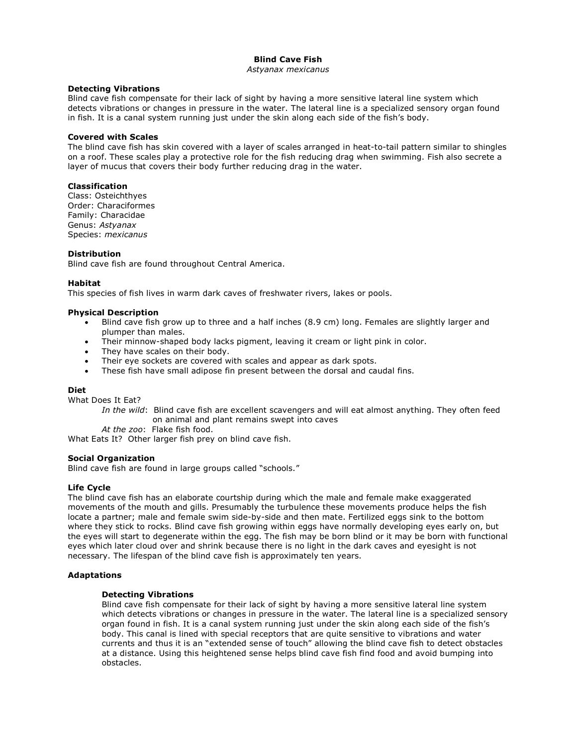# **Blind Cave Fish**

#### *Astyanax mexicanus*

#### **Detecting Vibrations**

Blind cave fish compensate for their lack of sight by having a more sensitive lateral line system which detects vibrations or changes in pressure in the water. The lateral line is a specialized sensory organ found in fish. It is a canal system running just under the skin along each side of the fish's body.

## **Covered with Scales**

The blind cave fish has skin covered with a layer of scales arranged in heat-to-tail pattern similar to shingles on a roof. These scales play a protective role for the fish reducing drag when swimming. Fish also secrete a layer of mucus that covers their body further reducing drag in the water.

#### **Classification**

Class: Osteichthyes Order: Characiformes Family: Characidae Genus: *Astyanax* Species: *mexicanus*

### **Distribution**

Blind cave fish are found throughout Central America.

#### **Habitat**

This species of fish lives in warm dark caves of freshwater rivers, lakes or pools.

#### **Physical Description**

- Blind cave fish grow up to three and a half inches (8.9 cm) long. Females are slightly larger and plumper than males.
- Their minnow-shaped body lacks pigment, leaving it cream or light pink in color.
- They have scales on their body.
- Their eye sockets are covered with scales and appear as dark spots.
- These fish have small adipose fin present between the dorsal and caudal fins.

### **Diet**

What Does It Eat?

*In the wild*: Blind cave fish are excellent scavengers and will eat almost anything. They often feed on animal and plant remains swept into caves

*At the zoo*: Flake fish food.

What Eats It? Other larger fish prey on blind cave fish.

### **Social Organization**

Blind cave fish are found in large groups called "schools."

### **Life Cycle**

The blind cave fish has an elaborate courtship during which the male and female make exaggerated movements of the mouth and gills. Presumably the turbulence these movements produce helps the fish locate a partner; male and female swim side-by-side and then mate. Fertilized eggs sink to the bottom where they stick to rocks. Blind cave fish growing within eggs have normally developing eyes early on, but the eyes will start to degenerate within the egg. The fish may be born blind or it may be born with functional eyes which later cloud over and shrink because there is no light in the dark caves and eyesight is not necessary. The lifespan of the blind cave fish is approximately ten years.

### **Adaptations**

#### **Detecting Vibrations**

Blind cave fish compensate for their lack of sight by having a more sensitive lateral line system which detects vibrations or changes in pressure in the water. The lateral line is a specialized sensory organ found in fish. It is a canal system running just under the skin along each side of the fish's body. This canal is lined with special receptors that are quite sensitive to vibrations and water currents and thus it is an "extended sense of touch" allowing the blind cave fish to detect obstacles at a distance. Using this heightened sense helps blind cave fish find food and avoid bumping into obstacles.